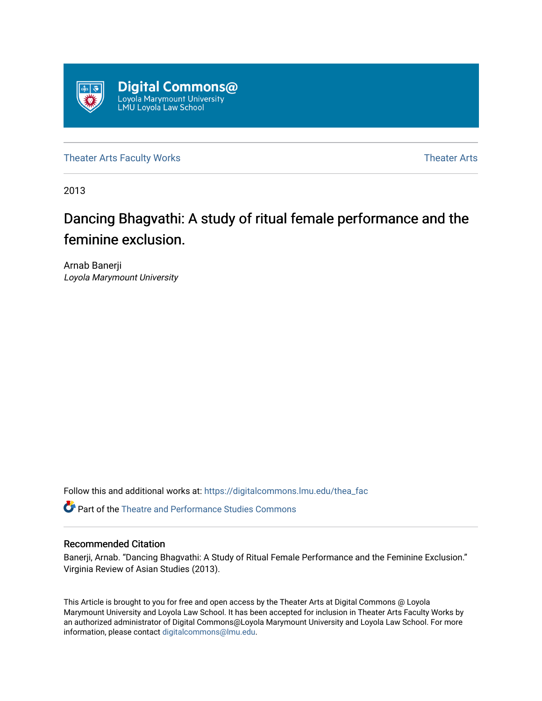

[Theater Arts Faculty Works](https://digitalcommons.lmu.edu/thea_fac) [Theater Arts](https://digitalcommons.lmu.edu/thea) Theater Arts

2013

# Dancing Bhagvathi: A study of ritual female performance and the feminine exclusion.

Arnab Banerji Loyola Marymount University

Follow this and additional works at: [https://digitalcommons.lmu.edu/thea\\_fac](https://digitalcommons.lmu.edu/thea_fac?utm_source=digitalcommons.lmu.edu%2Fthea_fac%2F2&utm_medium=PDF&utm_campaign=PDFCoverPages) 

**C** Part of the Theatre and Performance Studies Commons

#### Recommended Citation

Banerji, Arnab. "Dancing Bhagvathi: A Study of Ritual Female Performance and the Feminine Exclusion." Virginia Review of Asian Studies (2013).

This Article is brought to you for free and open access by the Theater Arts at Digital Commons @ Loyola Marymount University and Loyola Law School. It has been accepted for inclusion in Theater Arts Faculty Works by an authorized administrator of Digital Commons@Loyola Marymount University and Loyola Law School. For more information, please contact [digitalcommons@lmu.edu.](mailto:digitalcommons@lmu.edu)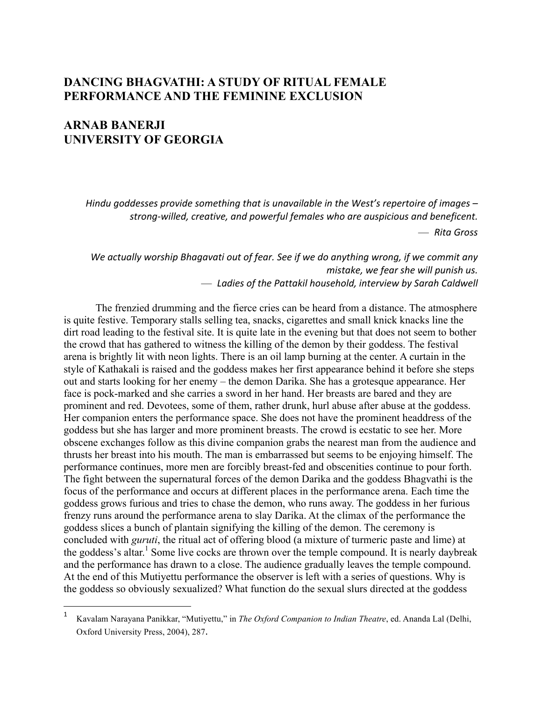## **DANCING BHAGVATHI: A STUDY OF RITUAL FEMALE PERFORMANCE AND THE FEMININE EXCLUSION**

## **ARNAB BANERJI UNIVERSITY OF GEORGIA**

 $\overline{a}$ 

Hindu goddesses provide something that is unavailable in the West's repertoire of images strong-willed, creative, and powerful females who are auspicious and beneficent.

— *Rita&Gross*

We actually worship Bhagavati out of fear. See if we do anything wrong, if we commit any *mistake, we fear she will punish us.*  $-$  Ladies of the Pattakil household, interview by Sarah Caldwell

The frenzied drumming and the fierce cries can be heard from a distance. The atmosphere is quite festive. Temporary stalls selling tea, snacks, cigarettes and small knick knacks line the dirt road leading to the festival site. It is quite late in the evening but that does not seem to bother the crowd that has gathered to witness the killing of the demon by their goddess. The festival arena is brightly lit with neon lights. There is an oil lamp burning at the center. A curtain in the style of Kathakali is raised and the goddess makes her first appearance behind it before she steps out and starts looking for her enemy – the demon Darika. She has a grotesque appearance. Her face is pock-marked and she carries a sword in her hand. Her breasts are bared and they are prominent and red. Devotees, some of them, rather drunk, hurl abuse after abuse at the goddess. Her companion enters the performance space. She does not have the prominent headdress of the goddess but she has larger and more prominent breasts. The crowd is ecstatic to see her. More obscene exchanges follow as this divine companion grabs the nearest man from the audience and thrusts her breast into his mouth. The man is embarrassed but seems to be enjoying himself. The performance continues, more men are forcibly breast-fed and obscenities continue to pour forth. The fight between the supernatural forces of the demon Darika and the goddess Bhagvathi is the focus of the performance and occurs at different places in the performance arena. Each time the goddess grows furious and tries to chase the demon, who runs away. The goddess in her furious frenzy runs around the performance arena to slay Darika. At the climax of the performance the goddess slices a bunch of plantain signifying the killing of the demon. The ceremony is concluded with *guruti*, the ritual act of offering blood (a mixture of turmeric paste and lime) at the goddess's altar.<sup>1</sup> Some live cocks are thrown over the temple compound. It is nearly daybreak and the performance has drawn to a close. The audience gradually leaves the temple compound. At the end of this Mutiyettu performance the observer is left with a series of questions. Why is the goddess so obviously sexualized? What function do the sexual slurs directed at the goddess

<sup>1</sup> Kavalam Narayana Panikkar, "Mutiyettu," in *The Oxford Companion to Indian Theatre*, ed. Ananda Lal (Delhi, Oxford University Press, 2004), 287.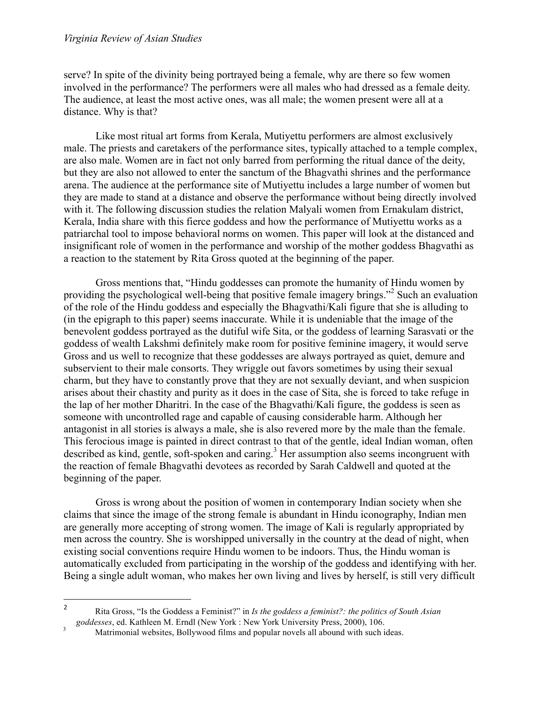serve? In spite of the divinity being portrayed being a female, why are there so few women involved in the performance? The performers were all males who had dressed as a female deity. The audience, at least the most active ones, was all male; the women present were all at a distance. Why is that?

Like most ritual art forms from Kerala, Mutiyettu performers are almost exclusively male. The priests and caretakers of the performance sites, typically attached to a temple complex, are also male. Women are in fact not only barred from performing the ritual dance of the deity, but they are also not allowed to enter the sanctum of the Bhagvathi shrines and the performance arena. The audience at the performance site of Mutiyettu includes a large number of women but they are made to stand at a distance and observe the performance without being directly involved with it. The following discussion studies the relation Malyali women from Ernakulam district, Kerala, India share with this fierce goddess and how the performance of Mutiyettu works as a patriarchal tool to impose behavioral norms on women. This paper will look at the distanced and insignificant role of women in the performance and worship of the mother goddess Bhagvathi as a reaction to the statement by Rita Gross quoted at the beginning of the paper.

Gross mentions that, "Hindu goddesses can promote the humanity of Hindu women by providing the psychological well-being that positive female imagery brings."<sup>2</sup> Such an evaluation of the role of the Hindu goddess and especially the Bhagvathi/Kali figure that she is alluding to (in the epigraph to this paper) seems inaccurate. While it is undeniable that the image of the benevolent goddess portrayed as the dutiful wife Sita, or the goddess of learning Sarasvati or the goddess of wealth Lakshmi definitely make room for positive feminine imagery, it would serve Gross and us well to recognize that these goddesses are always portrayed as quiet, demure and subservient to their male consorts. They wriggle out favors sometimes by using their sexual charm, but they have to constantly prove that they are not sexually deviant, and when suspicion arises about their chastity and purity as it does in the case of Sita, she is forced to take refuge in the lap of her mother Dharitri. In the case of the Bhagvathi/Kali figure, the goddess is seen as someone with uncontrolled rage and capable of causing considerable harm. Although her antagonist in all stories is always a male, she is also revered more by the male than the female. This ferocious image is painted in direct contrast to that of the gentle, ideal Indian woman, often described as kind, gentle, soft-spoken and caring.<sup>3</sup> Her assumption also seems incongruent with the reaction of female Bhagvathi devotees as recorded by Sarah Caldwell and quoted at the beginning of the paper.

Gross is wrong about the position of women in contemporary Indian society when she claims that since the image of the strong female is abundant in Hindu iconography, Indian men are generally more accepting of strong women. The image of Kali is regularly appropriated by men across the country. She is worshipped universally in the country at the dead of night, when existing social conventions require Hindu women to be indoors. Thus, the Hindu woman is automatically excluded from participating in the worship of the goddess and identifying with her. Being a single adult woman, who makes her own living and lives by herself, is still very difficult

 $\overline{a}$ 

<sup>2</sup> Rita Gross, "Is the Goddess a Feminist?" in *Is the goddess a feminist?: the politics of South Asian* <sup>3</sup> *goddesses*, ed. Kathleen M. Erndl (New York : New York University Press, 2000), 106.<br>Matrimonial websites, Bollywood films and popular novels all abound with such ideas.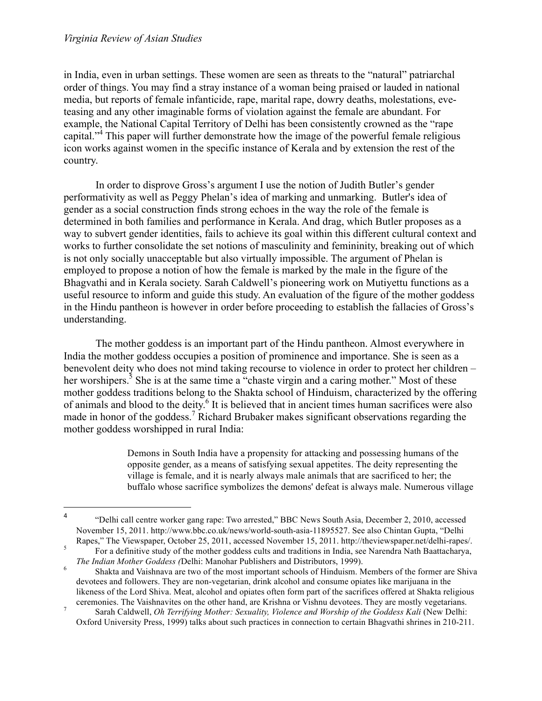$\overline{a}$ 

in India, even in urban settings. These women are seen as threats to the "natural" patriarchal order of things. You may find a stray instance of a woman being praised or lauded in national media, but reports of female infanticide, rape, marital rape, dowry deaths, molestations, eveteasing and any other imaginable forms of violation against the female are abundant. For example, the National Capital Territory of Delhi has been consistently crowned as the "rape capital."<sup>4</sup> This paper will further demonstrate how the image of the powerful female religious icon works against women in the specific instance of Kerala and by extension the rest of the country.

In order to disprove Gross's argument I use the notion of Judith Butler's gender performativity as well as Peggy Phelan's idea of marking and unmarking. Butler's idea of gender as a social construction finds strong echoes in the way the role of the female is determined in both families and performance in Kerala. And drag, which Butler proposes as a way to subvert gender identities, fails to achieve its goal within this different cultural context and works to further consolidate the set notions of masculinity and femininity, breaking out of which is not only socially unacceptable but also virtually impossible. The argument of Phelan is employed to propose a notion of how the female is marked by the male in the figure of the Bhagvathi and in Kerala society. Sarah Caldwell's pioneering work on Mutiyettu functions as a useful resource to inform and guide this study. An evaluation of the figure of the mother goddess in the Hindu pantheon is however in order before proceeding to establish the fallacies of Gross's understanding.

The mother goddess is an important part of the Hindu pantheon. Almost everywhere in India the mother goddess occupies a position of prominence and importance. She is seen as a benevolent deity who does not mind taking recourse to violence in order to protect her children – her worshipers.<sup>5</sup> She is at the same time a "chaste virgin and a caring mother." Most of these mother goddess traditions belong to the Shakta school of Hinduism, characterized by the offering of animals and blood to the deity.<sup>6</sup> It is believed that in ancient times human sacrifices were also made in honor of the goddess.<sup>7</sup> Richard Brubaker makes significant observations regarding the mother goddess worshipped in rural India:

> Demons in South India have a propensity for attacking and possessing humans of the opposite gender, as a means of satisfying sexual appetites. The deity representing the village is female, and it is nearly always male animals that are sacrificed to her; the buffalo whose sacrifice symbolizes the demons' defeat is always male. Numerous village

<sup>4</sup> "Delhi call centre worker gang rape: Two arrested," BBC News South Asia, December 2, 2010, accessed November 15, 2011. http://www.bbc.co.uk/news/world-south-asia-11895527. See also Chintan Gupta, "Delhi

Rapes," The Viewspaper, October 25, 2011, accessed November 15, 2011. http://theviewspaper.net/delhi-rapes/.<br>
For a definitive study of the mother goddess cults and traditions in India, see Narendra Nath Baattacharya, *The Indian Mother Goddess (Delhi: Manohar Publishers and Distributors, 1999).*<br><sup>6</sup> Shakta and Vaishnava are two of the most important schools of Hinduism. Members of the former are Shiva

devotees and followers. They are non-vegetarian, drink alcohol and consume opiates like marijuana in the likeness of the Lord Shiva. Meat, alcohol and opiates often form part of the sacrifices offered at Shakta religious

ceremonies. The Vaishnavites on the other hand, are Krishna or Vishnu devotees. They are mostly vegetarians. 7 Sarah Caldwell, *Oh Terrifying Mother: Sexuality, Violence and Worship of the Goddess Kali* (New Delhi: Oxford University Press, 1999) talks about such practices in connection to certain Bhagvathi shrines in 210-211.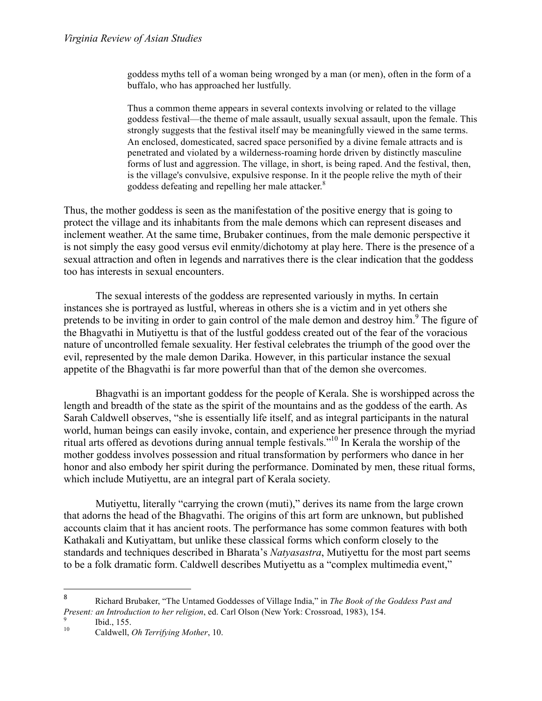goddess myths tell of a woman being wronged by a man (or men), often in the form of a buffalo, who has approached her lustfully.

Thus a common theme appears in several contexts involving or related to the village goddess festival—the theme of male assault, usually sexual assault, upon the female. This strongly suggests that the festival itself may be meaningfully viewed in the same terms. An enclosed, domesticated, sacred space personified by a divine female attracts and is penetrated and violated by a wilderness-roaming horde driven by distinctly masculine forms of lust and aggression. The village, in short, is being raped. And the festival, then, is the village's convulsive, expulsive response. In it the people relive the myth of their goddess defeating and repelling her male attacker.<sup>8</sup>

Thus, the mother goddess is seen as the manifestation of the positive energy that is going to protect the village and its inhabitants from the male demons which can represent diseases and inclement weather. At the same time, Brubaker continues, from the male demonic perspective it is not simply the easy good versus evil enmity/dichotomy at play here. There is the presence of a sexual attraction and often in legends and narratives there is the clear indication that the goddess too has interests in sexual encounters.

The sexual interests of the goddess are represented variously in myths. In certain instances she is portrayed as lustful, whereas in others she is a victim and in yet others she pretends to be inviting in order to gain control of the male demon and destroy him.<sup>9</sup> The figure of the Bhagvathi in Mutiyettu is that of the lustful goddess created out of the fear of the voracious nature of uncontrolled female sexuality. Her festival celebrates the triumph of the good over the evil, represented by the male demon Darika. However, in this particular instance the sexual appetite of the Bhagvathi is far more powerful than that of the demon she overcomes.

Bhagvathi is an important goddess for the people of Kerala. She is worshipped across the length and breadth of the state as the spirit of the mountains and as the goddess of the earth. As Sarah Caldwell observes, "she is essentially life itself, and as integral participants in the natural world, human beings can easily invoke, contain, and experience her presence through the myriad ritual arts offered as devotions during annual temple festivals." 10 In Kerala the worship of the mother goddess involves possession and ritual transformation by performers who dance in her honor and also embody her spirit during the performance. Dominated by men, these ritual forms, which include Mutiyettu, are an integral part of Kerala society.

Mutiyettu, literally "carrying the crown (muti)," derives its name from the large crown that adorns the head of the Bhagvathi. The origins of this art form are unknown, but published accounts claim that it has ancient roots. The performance has some common features with both Kathakali and Kutiyattam, but unlike these classical forms which conform closely to the standards and techniques described in Bharata's *Natyasastra*, Mutiyettu for the most part seems to be a folk dramatic form. Caldwell describes Mutiyettu as a "complex multimedia event,"

 $\overline{a}$ 

<sup>8</sup> "" Richard Brubaker, "The Untamed Goddesses of Village India," in *The Book of the Goddess Past and Present: an Introduction to her religion*, ed. Carl Olson (New York: Crossroad, 1983), 154.<br><sup>9</sup> Ibid., 155. Caldwell, *Oh Terrifying Mother*, 10.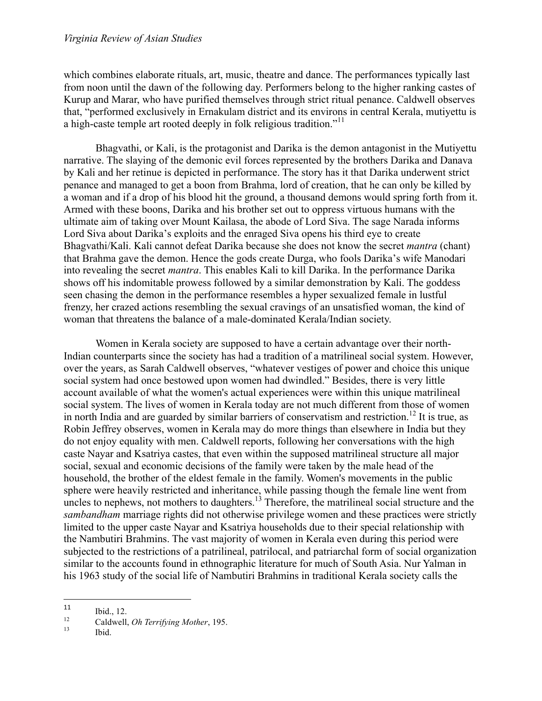which combines elaborate rituals, art, music, theatre and dance. The performances typically last from noon until the dawn of the following day. Performers belong to the higher ranking castes of Kurup and Marar, who have purified themselves through strict ritual penance. Caldwell observes that, "performed exclusively in Ernakulam district and its environs in central Kerala, mutiyettu is a high-caste temple art rooted deeply in folk religious tradition."<sup>11</sup>

Bhagvathi, or Kali, is the protagonist and Darika is the demon antagonist in the Mutiyettu narrative. The slaying of the demonic evil forces represented by the brothers Darika and Danava by Kali and her retinue is depicted in performance. The story has it that Darika underwent strict penance and managed to get a boon from Brahma, lord of creation, that he can only be killed by a woman and if a drop of his blood hit the ground, a thousand demons would spring forth from it. Armed with these boons, Darika and his brother set out to oppress virtuous humans with the ultimate aim of taking over Mount Kailasa, the abode of Lord Siva. The sage Narada informs Lord Siva about Darika's exploits and the enraged Siva opens his third eye to create Bhagvathi/Kali. Kali cannot defeat Darika because she does not know the secret *mantra* (chant) that Brahma gave the demon. Hence the gods create Durga, who fools Darika's wife Manodari into revealing the secret *mantra*. This enables Kali to kill Darika. In the performance Darika shows off his indomitable prowess followed by a similar demonstration by Kali. The goddess seen chasing the demon in the performance resembles a hyper sexualized female in lustful frenzy, her crazed actions resembling the sexual cravings of an unsatisfied woman, the kind of woman that threatens the balance of a male-dominated Kerala/Indian society.

Women in Kerala society are supposed to have a certain advantage over their north-Indian counterparts since the society has had a tradition of a matrilineal social system. However, over the years, as Sarah Caldwell observes, "whatever vestiges of power and choice this unique social system had once bestowed upon women had dwindled." Besides, there is very little account available of what the women's actual experiences were within this unique matrilineal social system. The lives of women in Kerala today are not much different from those of women in north India and are guarded by similar barriers of conservatism and restriction.<sup>12</sup> It is true, as Robin Jeffrey observes, women in Kerala may do more things than elsewhere in India but they do not enjoy equality with men. Caldwell reports, following her conversations with the high caste Nayar and Ksatriya castes, that even within the supposed matrilineal structure all major social, sexual and economic decisions of the family were taken by the male head of the household, the brother of the eldest female in the family. Women's movements in the public sphere were heavily restricted and inheritance, while passing though the female line went from uncles to nephews, not mothers to daughters.<sup>13</sup> Therefore, the matrilineal social structure and the *sambandham* marriage rights did not otherwise privilege women and these practices were strictly limited to the upper caste Nayar and Ksatriya households due to their special relationship with the Nambutiri Brahmins. The vast majority of women in Kerala even during this period were subjected to the restrictions of a patrilineal, patrilocal, and patriarchal form of social organization similar to the accounts found in ethnographic literature for much of South Asia. Nur Yalman in his 1963 study of the social life of Nambutiri Brahmins in traditional Kerala society calls the

<sup>11</sup> 

<sup>11</sup> Ibid., 12.<br>
12 Caldwell, *Oh Terrifying Mother*, 195.<br>
13 Ibid.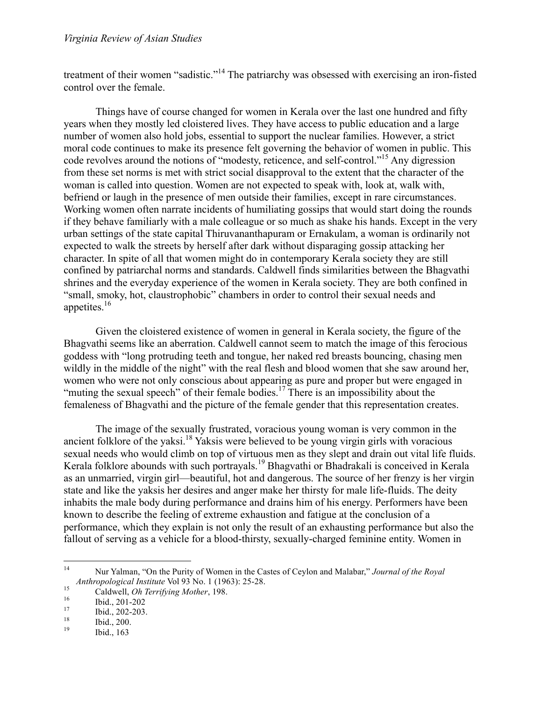treatment of their women "sadistic."<sup>14</sup> The patriarchy was obsessed with exercising an iron-fisted control over the female.

Things have of course changed for women in Kerala over the last one hundred and fifty years when they mostly led cloistered lives. They have access to public education and a large number of women also hold jobs, essential to support the nuclear families. However, a strict moral code continues to make its presence felt governing the behavior of women in public. This code revolves around the notions of "modesty, reticence, and self-control." <sup>15</sup> Any digression from these set norms is met with strict social disapproval to the extent that the character of the woman is called into question. Women are not expected to speak with, look at, walk with, befriend or laugh in the presence of men outside their families, except in rare circumstances. Working women often narrate incidents of humiliating gossips that would start doing the rounds if they behave familiarly with a male colleague or so much as shake his hands. Except in the very urban settings of the state capital Thiruvananthapuram or Ernakulam, a woman is ordinarily not expected to walk the streets by herself after dark without disparaging gossip attacking her character. In spite of all that women might do in contemporary Kerala society they are still confined by patriarchal norms and standards. Caldwell finds similarities between the Bhagvathi shrines and the everyday experience of the women in Kerala society. They are both confined in "small, smoky, hot, claustrophobic" chambers in order to control their sexual needs and appetites. 16

Given the cloistered existence of women in general in Kerala society, the figure of the Bhagvathi seems like an aberration. Caldwell cannot seem to match the image of this ferocious goddess with "long protruding teeth and tongue, her naked red breasts bouncing, chasing men wildly in the middle of the night" with the real flesh and blood women that she saw around her, women who were not only conscious about appearing as pure and proper but were engaged in "muting the sexual speech" of their female bodies.<sup>17</sup> There is an impossibility about the femaleness of Bhagvathi and the picture of the female gender that this representation creates.

The image of the sexually frustrated, voracious young woman is very common in the ancient folklore of the yaksi. 18 Yaksis were believed to be young virgin girls with voracious sexual needs who would climb on top of virtuous men as they slept and drain out vital life fluids. Kerala folklore abounds with such portrayals. <sup>19</sup> Bhagvathi or Bhadrakali is conceived in Kerala as an unmarried, virgin girl—beautiful, hot and dangerous. The source of her frenzy is her virgin state and like the yaksis her desires and anger make her thirsty for male life-fluids. The deity inhabits the male body during performance and drains him of his energy. Performers have been known to describe the feeling of extreme exhaustion and fatigue at the conclusion of a performance, which they explain is not only the result of an exhausting performance but also the fallout of serving as a vehicle for a blood-thirsty, sexually-charged feminine entity. Women in

 <sup>14</sup> Nur Yalman, "On the Purity of Women in the Castes of Ceylon and Malabar," *Journal of the Royal Anthropological Institute* Vol 93 No. 1 (1963): 25-28.<br>
<sup>16</sup> Caldwell, *Oh Terrifying Mother*, 198.<br>
<sup>16</sup> Ibid., 201-202<br>
<sup>17</sup> Ibid., 202-203.<br>
<sup>18</sup> Ibid., 200.<br>
<sup>19</sup> Ibid., 163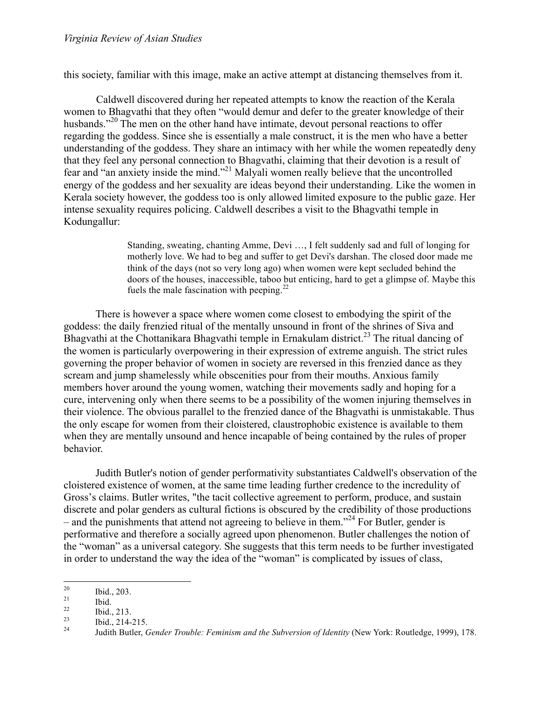this society, familiar with this image, make an active attempt at distancing themselves from it.

Caldwell discovered during her repeated attempts to know the reaction of the Kerala women to Bhagvathi that they often "would demur and defer to the greater knowledge of their husbands."<sup>20</sup> The men on the other hand have intimate, devout personal reactions to offer regarding the goddess. Since she is essentially a male construct, it is the men who have a better understanding of the goddess. They share an intimacy with her while the women repeatedly deny that they feel any personal connection to Bhagvathi, claiming that their devotion is a result of fear and "an anxiety inside the mind."<sup>21</sup> Malyali women really believe that the uncontrolled energy of the goddess and her sexuality are ideas beyond their understanding. Like the women in Kerala society however, the goddess too is only allowed limited exposure to the public gaze. Her intense sexuality requires policing. Caldwell describes a visit to the Bhagvathi temple in Kodungallur:

> Standing, sweating, chanting Amme, Devi …, I felt suddenly sad and full of longing for motherly love. We had to beg and suffer to get Devi's darshan. The closed door made me think of the days (not so very long ago) when women were kept secluded behind the doors of the houses, inaccessible, taboo but enticing, hard to get a glimpse of. Maybe this fuels the male fascination with peeping. $^{22}$

There is however a space where women come closest to embodying the spirit of the goddess: the daily frenzied ritual of the mentally unsound in front of the shrines of Siva and Bhagvathi at the Chottanikara Bhagvathi temple in Ernakulam district.<sup>23</sup> The ritual dancing of the women is particularly overpowering in their expression of extreme anguish. The strict rules governing the proper behavior of women in society are reversed in this frenzied dance as they scream and jump shamelessly while obscenities pour from their mouths. Anxious family members hover around the young women, watching their movements sadly and hoping for a cure, intervening only when there seems to be a possibility of the women injuring themselves in their violence. The obvious parallel to the frenzied dance of the Bhagvathi is unmistakable. Thus the only escape for women from their cloistered, claustrophobic existence is available to them when they are mentally unsound and hence incapable of being contained by the rules of proper behavior.

Judith Butler's notion of gender performativity substantiates Caldwell's observation of the cloistered existence of women, at the same time leading further credence to the incredulity of Gross's claims. Butler writes, "the tacit collective agreement to perform, produce, and sustain discrete and polar genders as cultural fictions is obscured by the credibility of those productions – and the punishments that attend not agreeing to believe in them."<sup>24</sup> For Butler, gender is performative and therefore a socially agreed upon phenomenon. Butler challenges the notion of the "woman" as a universal category. She suggests that this term needs to be further investigated in order to understand the way the idea of the "woman" is complicated by issues of class,

<sup>&</sup>lt;sup>20</sup> Ibid., 203.<br>
<sup>21</sup> Ibid., 213.<br>
<sup>22</sup> Ibid., 214-215.<br>
<sup>24</sup> Judith Butler, *Gender Trouble: Feminism and the Subversion of Identity* (New York: Routledge, 1999), 178.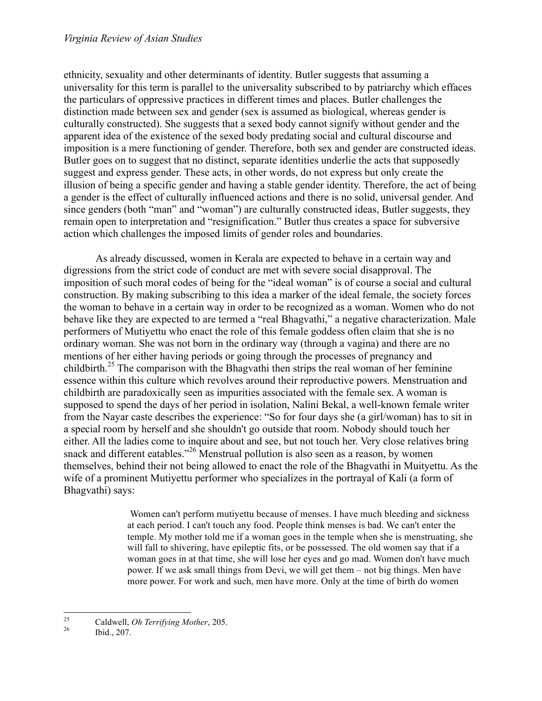ethnicity, sexuality and other determinants of identity. Butler suggests that assuming a universality for this term is parallel to the universality subscribed to by patriarchy which effaces the particulars of oppressive practices in different times and places. Butler challenges the distinction made between sex and gender (sex is assumed as biological, whereas gender is culturally constructed). She suggests that a sexed body cannot signify without gender and the apparent idea of the existence of the sexed body predating social and cultural discourse and imposition is a mere functioning of gender. Therefore, both sex and gender are constructed ideas. Butler goes on to suggest that no distinct, separate identities underlie the acts that supposedly suggest and express gender. These acts, in other words, do not express but only create the illusion of being a specific gender and having a stable gender identity. Therefore, the act of being a gender is the effect of culturally influenced actions and there is no solid, universal gender. And since genders (both "man" and "woman") are culturally constructed ideas, Butler suggests, they remain open to interpretation and "resignification." Butler thus creates a space for subversive action which challenges the imposed limits of gender roles and boundaries.

As already discussed, women in Kerala are expected to behave in a certain way and digressions from the strict code of conduct are met with severe social disapproval. The imposition of such moral codes of being for the "ideal woman" is of course a social and cultural construction. By making subscribing to this idea a marker of the ideal female, the society forces the woman to behave in a certain way in order to be recognized as a woman. Women who do not behave like they are expected to are termed a "real Bhagvathi," a negative characterization. Male performers of Mutiyettu who enact the role of this female goddess often claim that she is no ordinary woman. She was not born in the ordinary way (through a vagina) and there are no mentions of her either having periods or going through the processes of pregnancy and childbirth. 25 The comparison with the Bhagvathi then strips the real woman of her feminine essence within this culture which revolves around their reproductive powers. Menstruation and childbirth are paradoxically seen as impurities associated with the female sex. A woman is supposed to spend the days of her period in isolation, Nalini Bekal, a well-known female writer from the Nayar caste describes the experience: "So for four days she (a girl/woman) has to sit in a special room by herself and she shouldn't go outside that room. Nobody should touch her either. All the ladies come to inquire about and see, but not touch her. Very close relatives bring snack and different eatables."<sup>26</sup> Menstrual pollution is also seen as a reason, by women themselves, behind their not being allowed to enact the role of the Bhagvathi in Muityettu. As the wife of a prominent Mutiyettu performer who specializes in the portrayal of Kali (a form of Bhagvathi) says:

> Women can't perform mutiyettu because of menses. I have much bleeding and sickness at each period. I can't touch any food. People think menses is bad. We can't enter the temple. My mother told me if a woman goes in the temple when she is menstruating, she will fall to shivering, have epileptic fits, or be possessed. The old women say that if a woman goes in at that time, she will lose her eyes and go mad. Women don't have much power. If we ask small things from Devi, we will get them – not big things. Men have more power. For work and such, men have more. Only at the time of birth do women

<sup>&</sup>lt;sup>25</sup> Caldwell, *Oh Terrifying Mother*, 205.<br><sup>26</sup> Ibid., 207.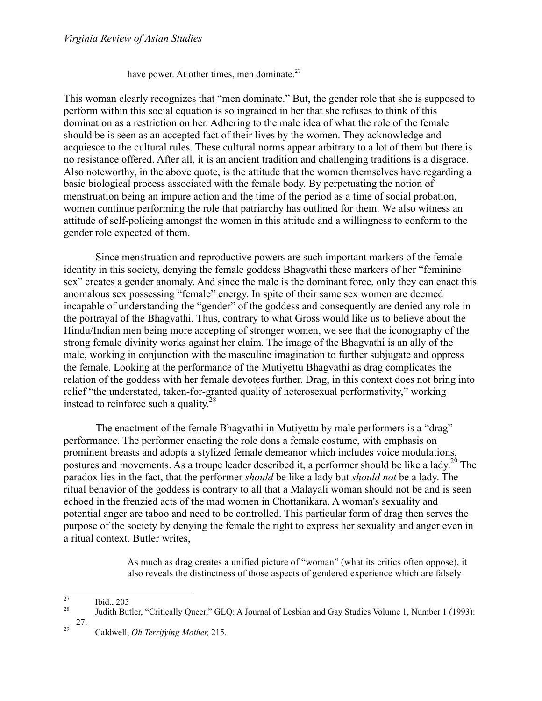have power. At other times, men dominate. $27$ 

This woman clearly recognizes that "men dominate." But, the gender role that she is supposed to perform within this social equation is so ingrained in her that she refuses to think of this domination as a restriction on her. Adhering to the male idea of what the role of the female should be is seen as an accepted fact of their lives by the women. They acknowledge and acquiesce to the cultural rules. These cultural norms appear arbitrary to a lot of them but there is no resistance offered. After all, it is an ancient tradition and challenging traditions is a disgrace. Also noteworthy, in the above quote, is the attitude that the women themselves have regarding a basic biological process associated with the female body. By perpetuating the notion of menstruation being an impure action and the time of the period as a time of social probation, women continue performing the role that patriarchy has outlined for them. We also witness an attitude of self-policing amongst the women in this attitude and a willingness to conform to the gender role expected of them.

Since menstruation and reproductive powers are such important markers of the female identity in this society, denying the female goddess Bhagvathi these markers of her "feminine sex" creates a gender anomaly. And since the male is the dominant force, only they can enact this anomalous sex possessing "female" energy. In spite of their same sex women are deemed incapable of understanding the "gender" of the goddess and consequently are denied any role in the portrayal of the Bhagvathi. Thus, contrary to what Gross would like us to believe about the Hindu/Indian men being more accepting of stronger women, we see that the iconography of the strong female divinity works against her claim. The image of the Bhagvathi is an ally of the male, working in conjunction with the masculine imagination to further subjugate and oppress the female. Looking at the performance of the Mutiyettu Bhagvathi as drag complicates the relation of the goddess with her female devotees further. Drag, in this context does not bring into relief "the understated, taken-for-granted quality of heterosexual performativity," working instead to reinforce such a quality.<sup>28</sup>

The enactment of the female Bhagvathi in Mutiyettu by male performers is a "drag" performance. The performer enacting the role dons a female costume, with emphasis on prominent breasts and adopts a stylized female demeanor which includes voice modulations, postures and movements. As a troupe leader described it, a performer should be like a lady.<sup>29</sup> The paradox lies in the fact, that the performer *should* be like a lady but *should not* be a lady. The ritual behavior of the goddess is contrary to all that a Malayali woman should not be and is seen echoed in the frenzied acts of the mad women in Chottanikara. A woman's sexuality and potential anger are taboo and need to be controlled. This particular form of drag then serves the purpose of the society by denying the female the right to express her sexuality and anger even in a ritual context. Butler writes,

> As much as drag creates a unified picture of "woman" (what its critics often oppose), it also reveals the distinctness of those aspects of gendered experience which are falsely

<sup>&</sup>lt;sup>27</sup> Ibid., 205 Ibid., 205 Ibid., 205 *Judith Butler, "Critically Queer," GLQ: A Journal of Lesbian and Gay Studies Volume 1, Number 1 (1993):* 

<sup>27.</sup> <sup>29</sup> Caldwell, *Oh Terrifying Mother,* 215.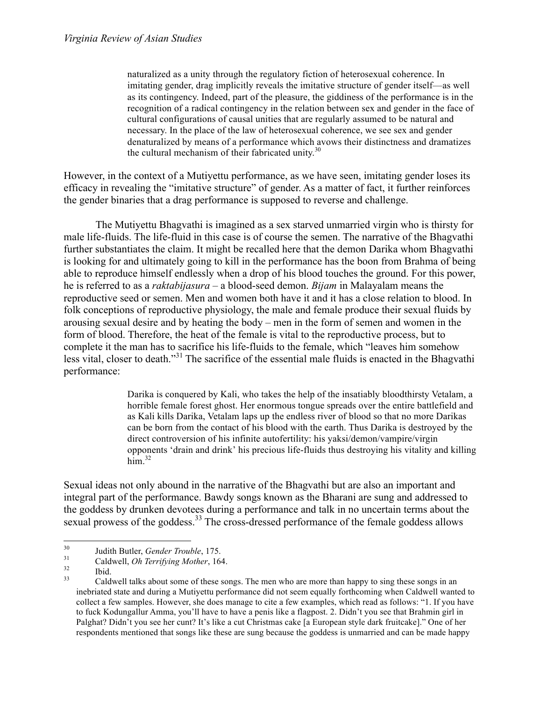naturalized as a unity through the regulatory fiction of heterosexual coherence. In imitating gender, drag implicitly reveals the imitative structure of gender itself—as well as its contingency. Indeed, part of the pleasure, the giddiness of the performance is in the recognition of a radical contingency in the relation between sex and gender in the face of cultural configurations of causal unities that are regularly assumed to be natural and necessary. In the place of the law of heterosexual coherence, we see sex and gender denaturalized by means of a performance which avows their distinctness and dramatizes the cultural mechanism of their fabricated unity.<sup>30</sup>

However, in the context of a Mutiyettu performance, as we have seen, imitating gender loses its efficacy in revealing the "imitative structure" of gender. As a matter of fact, it further reinforces the gender binaries that a drag performance is supposed to reverse and challenge.

The Mutiyettu Bhagvathi is imagined as a sex starved unmarried virgin who is thirsty for male life-fluids. The life-fluid in this case is of course the semen. The narrative of the Bhagvathi further substantiates the claim. It might be recalled here that the demon Darika whom Bhagvathi is looking for and ultimately going to kill in the performance has the boon from Brahma of being able to reproduce himself endlessly when a drop of his blood touches the ground. For this power, he is referred to as a *raktabijasura –* a blood-seed demon. *Bijam* in Malayalam means the reproductive seed or semen. Men and women both have it and it has a close relation to blood. In folk conceptions of reproductive physiology, the male and female produce their sexual fluids by arousing sexual desire and by heating the body – men in the form of semen and women in the form of blood. Therefore, the heat of the female is vital to the reproductive process, but to complete it the man has to sacrifice his life-fluids to the female, which "leaves him somehow less vital, closer to death."<sup>31</sup> The sacrifice of the essential male fluids is enacted in the Bhagvathi performance:

> Darika is conquered by Kali, who takes the help of the insatiably bloodthirsty Vetalam, a horrible female forest ghost. Her enormous tongue spreads over the entire battlefield and as Kali kills Darika, Vetalam laps up the endless river of blood so that no more Darikas can be born from the contact of his blood with the earth. Thus Darika is destroyed by the direct controversion of his infinite autofertility: his yaksi/demon/vampire/virgin opponents 'drain and drink' his precious life-fluids thus destroying his vitality and killing  $\lim^{32}$

Sexual ideas not only abound in the narrative of the Bhagvathi but are also an important and integral part of the performance. Bawdy songs known as the Bharani are sung and addressed to the goddess by drunken devotees during a performance and talk in no uncertain terms about the sexual prowess of the goddess.<sup>33</sup> The cross-dressed performance of the female goddess allows

<sup>&</sup>lt;sup>30</sup> Judith Butler, *Gender Trouble*, 175.<br>
<sup>31</sup> Caldwell, *Oh Terrifying Mother*, 164.<br>
<sup>32</sup> Ibid. Caldwell talks about some of these songs. The men who are more than happy to sing these songs in an inebriated state and during a Mutiyettu performance did not seem equally forthcoming when Caldwell wanted to collect a few samples. However, she does manage to cite a few examples, which read as follows: "1. If you have to fuck Kodungallur Amma, you'll have to have a penis like a flagpost. 2. Didn't you see that Brahmin girl in Palghat? Didn't you see her cunt? It's like a cut Christmas cake [a European style dark fruitcake]." One of her respondents mentioned that songs like these are sung because the goddess is unmarried and can be made happy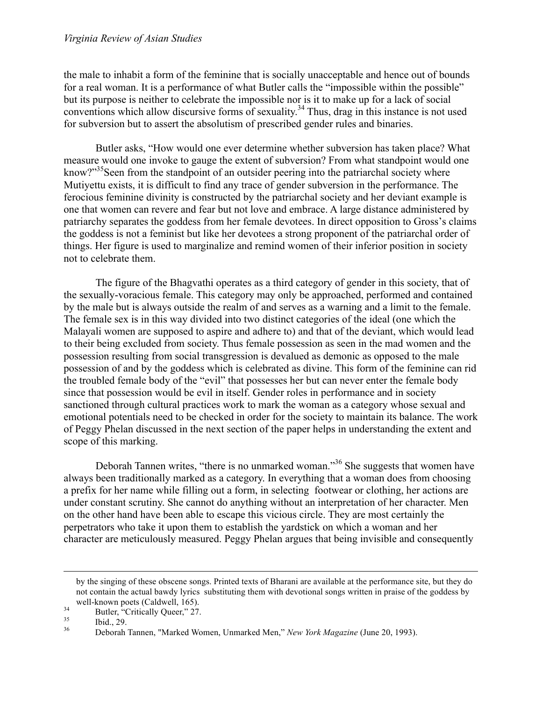the male to inhabit a form of the feminine that is socially unacceptable and hence out of bounds for a real woman. It is a performance of what Butler calls the "impossible within the possible" but its purpose is neither to celebrate the impossible nor is it to make up for a lack of social conventions which allow discursive forms of sexuality. 34 Thus, drag in this instance is not used for subversion but to assert the absolutism of prescribed gender rules and binaries.

Butler asks, "How would one ever determine whether subversion has taken place? What measure would one invoke to gauge the extent of subversion? From what standpoint would one know?"<sup>35</sup>Seen from the standpoint of an outsider peering into the patriarchal society where Mutiyettu exists, it is difficult to find any trace of gender subversion in the performance. The ferocious feminine divinity is constructed by the patriarchal society and her deviant example is one that women can revere and fear but not love and embrace. A large distance administered by patriarchy separates the goddess from her female devotees. In direct opposition to Gross's claims the goddess is not a feminist but like her devotees a strong proponent of the patriarchal order of things. Her figure is used to marginalize and remind women of their inferior position in society not to celebrate them.

The figure of the Bhagvathi operates as a third category of gender in this society, that of the sexually-voracious female. This category may only be approached, performed and contained by the male but is always outside the realm of and serves as a warning and a limit to the female. The female sex is in this way divided into two distinct categories of the ideal (one which the Malayali women are supposed to aspire and adhere to) and that of the deviant, which would lead to their being excluded from society. Thus female possession as seen in the mad women and the possession resulting from social transgression is devalued as demonic as opposed to the male possession of and by the goddess which is celebrated as divine. This form of the feminine can rid the troubled female body of the "evil" that possesses her but can never enter the female body since that possession would be evil in itself. Gender roles in performance and in society sanctioned through cultural practices work to mark the woman as a category whose sexual and emotional potentials need to be checked in order for the society to maintain its balance. The work of Peggy Phelan discussed in the next section of the paper helps in understanding the extent and scope of this marking.

Deborah Tannen writes, "there is no unmarked woman."<sup>36</sup> She suggests that women have always been traditionally marked as a category. In everything that a woman does from choosing a prefix for her name while filling out a form, in selecting footwear or clothing, her actions are under constant scrutiny. She cannot do anything without an interpretation of her character. Men on the other hand have been able to escape this vicious circle. They are most certainly the perpetrators who take it upon them to establish the yardstick on which a woman and her character are meticulously measured. Peggy Phelan argues that being invisible and consequently

by the singing of these obscene songs. Printed texts of Bharani are available at the performance site, but they do not contain the actual bawdy lyrics substituting them with devotional songs written in praise of the goddess by

well-known poets (Caldwell, 165).<br>
<sup>34</sup> Butler, "Critically Queer," 27.<br>
<sup>35</sup> Ibid., 29.<br>
Deborah Tannen, "Marked Women, Unmarked Men," *New York Magazine* (June 20, 1993).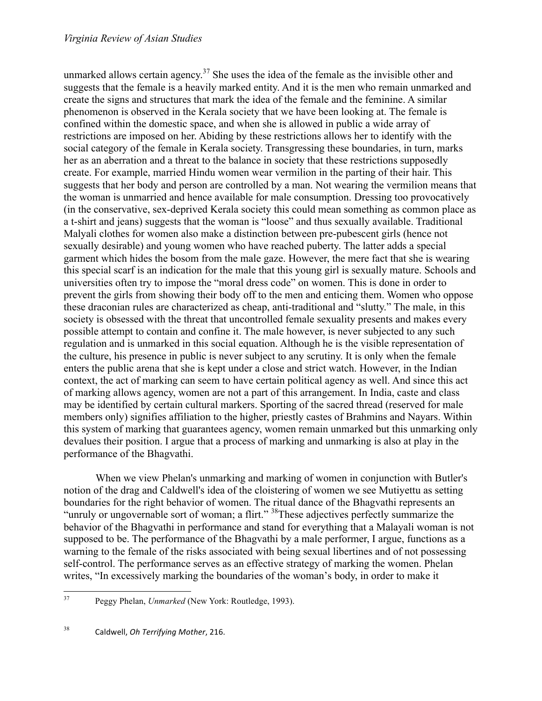unmarked allows certain agency.<sup>37</sup> She uses the idea of the female as the invisible other and suggests that the female is a heavily marked entity. And it is the men who remain unmarked and create the signs and structures that mark the idea of the female and the feminine. A similar phenomenon is observed in the Kerala society that we have been looking at. The female is confined within the domestic space, and when she is allowed in public a wide array of restrictions are imposed on her. Abiding by these restrictions allows her to identify with the social category of the female in Kerala society. Transgressing these boundaries, in turn, marks her as an aberration and a threat to the balance in society that these restrictions supposedly create. For example, married Hindu women wear vermilion in the parting of their hair. This suggests that her body and person are controlled by a man. Not wearing the vermilion means that the woman is unmarried and hence available for male consumption. Dressing too provocatively (in the conservative, sex-deprived Kerala society this could mean something as common place as a t-shirt and jeans) suggests that the woman is "loose" and thus sexually available. Traditional Malyali clothes for women also make a distinction between pre-pubescent girls (hence not sexually desirable) and young women who have reached puberty. The latter adds a special garment which hides the bosom from the male gaze. However, the mere fact that she is wearing this special scarf is an indication for the male that this young girl is sexually mature. Schools and universities often try to impose the "moral dress code" on women. This is done in order to prevent the girls from showing their body off to the men and enticing them. Women who oppose these draconian rules are characterized as cheap, anti-traditional and "slutty." The male, in this society is obsessed with the threat that uncontrolled female sexuality presents and makes every possible attempt to contain and confine it. The male however, is never subjected to any such regulation and is unmarked in this social equation. Although he is the visible representation of the culture, his presence in public is never subject to any scrutiny. It is only when the female enters the public arena that she is kept under a close and strict watch. However, in the Indian context, the act of marking can seem to have certain political agency as well. And since this act of marking allows agency, women are not a part of this arrangement. In India, caste and class may be identified by certain cultural markers. Sporting of the sacred thread (reserved for male members only) signifies affiliation to the higher, priestly castes of Brahmins and Nayars. Within this system of marking that guarantees agency, women remain unmarked but this unmarking only devalues their position. I argue that a process of marking and unmarking is also at play in the performance of the Bhagvathi.

When we view Phelan's unmarking and marking of women in conjunction with Butler's notion of the drag and Caldwell's idea of the cloistering of women we see Mutiyettu as setting boundaries for the right behavior of women. The ritual dance of the Bhagvathi represents an "unruly or ungovernable sort of woman; a flirt." 38These adjectives perfectly summarize the behavior of the Bhagvathi in performance and stand for everything that a Malayali woman is not supposed to be. The performance of the Bhagvathi by a male performer, I argue, functions as a warning to the female of the risks associated with being sexual libertines and of not possessing self-control. The performance serves as an effective strategy of marking the women. Phelan writes, "In excessively marking the boundaries of the woman's body, in order to make it

 <sup>37</sup> Peggy Phelan, *Unmarked* (New York: Routledge, 1993).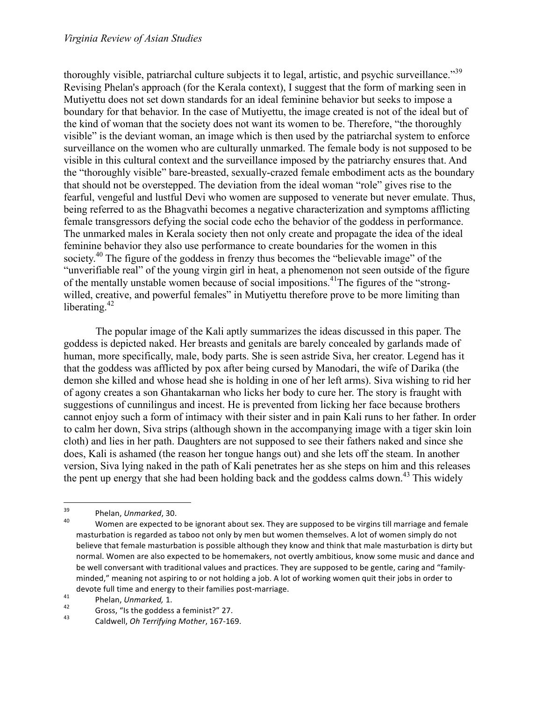thoroughly visible, patriarchal culture subjects it to legal, artistic, and psychic surveillance."<sup>39</sup> Revising Phelan's approach (for the Kerala context), I suggest that the form of marking seen in Mutiyettu does not set down standards for an ideal feminine behavior but seeks to impose a boundary for that behavior. In the case of Mutiyettu, the image created is not of the ideal but of the kind of woman that the society does not want its women to be. Therefore, "the thoroughly visible" is the deviant woman, an image which is then used by the patriarchal system to enforce surveillance on the women who are culturally unmarked. The female body is not supposed to be visible in this cultural context and the surveillance imposed by the patriarchy ensures that. And the "thoroughly visible" bare-breasted, sexually-crazed female embodiment acts as the boundary that should not be overstepped. The deviation from the ideal woman "role" gives rise to the fearful, vengeful and lustful Devi who women are supposed to venerate but never emulate. Thus, being referred to as the Bhagvathi becomes a negative characterization and symptoms afflicting female transgressors defying the social code echo the behavior of the goddess in performance. The unmarked males in Kerala society then not only create and propagate the idea of the ideal feminine behavior they also use performance to create boundaries for the women in this society.<sup>40</sup> The figure of the goddess in frenzy thus becomes the "believable image" of the "unverifiable real" of the young virgin girl in heat, a phenomenon not seen outside of the figure of the mentally unstable women because of social impositions. 41The figures of the "strongwilled, creative, and powerful females" in Mutiyettu therefore prove to be more limiting than liberating.<sup>42</sup>

The popular image of the Kali aptly summarizes the ideas discussed in this paper. The goddess is depicted naked. Her breasts and genitals are barely concealed by garlands made of human, more specifically, male, body parts. She is seen astride Siva, her creator. Legend has it that the goddess was afflicted by pox after being cursed by Manodari, the wife of Darika (the demon she killed and whose head she is holding in one of her left arms). Siva wishing to rid her of agony creates a son Ghantakarnan who licks her body to cure her. The story is fraught with suggestions of cunnilingus and incest. He is prevented from licking her face because brothers cannot enjoy such a form of intimacy with their sister and in pain Kali runs to her father. In order to calm her down, Siva strips (although shown in the accompanying image with a tiger skin loin cloth) and lies in her path. Daughters are not supposed to see their fathers naked and since she does, Kali is ashamed (the reason her tongue hangs out) and she lets off the steam. In another version, Siva lying naked in the path of Kali penetrates her as she steps on him and this releases the pent up energy that she had been holding back and the goddess calms down.<sup>43</sup> This widely

<sup>&</sup>lt;sup>39</sup> Phelan, *Unmarked*, 30.<br><sup>40</sup> Women are expected to be ignorant about sex. They are supposed to be virgins till marriage and female masturbation is regarded as taboo not only by men but women themselves. A lot of women simply do not believe that female masturbation is possible although they know and think that male masturbation is dirty but normal. Women are also expected to be homemakers, not overtly ambitious, know some music and dance and be well conversant with traditional values and practices. They are supposed to be gentle, caring and "familyminded," meaning not aspiring to or not holding a job. A lot of working women quit their jobs in order to devote full time and energy to their families post-marriage.<br>
<sup>41</sup> Phelan, *Unmarked*, 1.<br>
Gross, "Is the goddess a feminist?" 27.<br>
Caldwell, *Oh Terrifying Mother*, 167-169.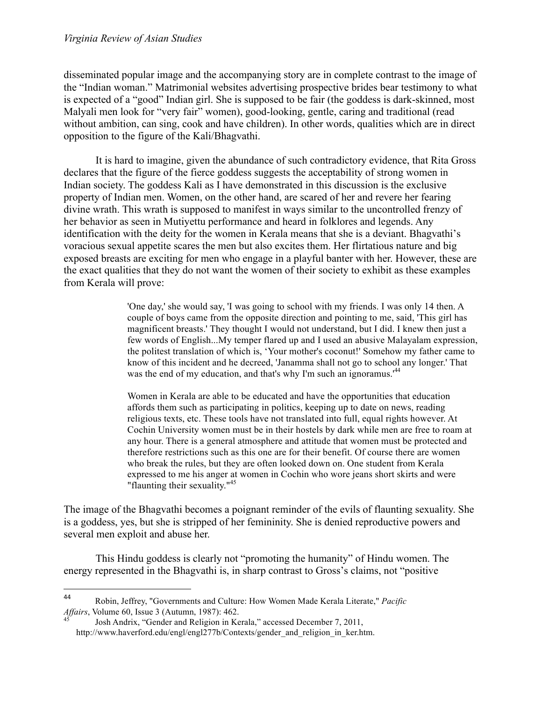disseminated popular image and the accompanying story are in complete contrast to the image of the "Indian woman." Matrimonial websites advertising prospective brides bear testimony to what is expected of a "good" Indian girl. She is supposed to be fair (the goddess is dark-skinned, most Malyali men look for "very fair" women), good-looking, gentle, caring and traditional (read without ambition, can sing, cook and have children). In other words, qualities which are in direct opposition to the figure of the Kali/Bhagvathi.

It is hard to imagine, given the abundance of such contradictory evidence, that Rita Gross declares that the figure of the fierce goddess suggests the acceptability of strong women in Indian society. The goddess Kali as I have demonstrated in this discussion is the exclusive property of Indian men. Women, on the other hand, are scared of her and revere her fearing divine wrath. This wrath is supposed to manifest in ways similar to the uncontrolled frenzy of her behavior as seen in Mutiyettu performance and heard in folklores and legends. Any identification with the deity for the women in Kerala means that she is a deviant. Bhagvathi's voracious sexual appetite scares the men but also excites them. Her flirtatious nature and big exposed breasts are exciting for men who engage in a playful banter with her. However, these are the exact qualities that they do not want the women of their society to exhibit as these examples from Kerala will prove:

> 'One day,' she would say, 'I was going to school with my friends. I was only 14 then. A couple of boys came from the opposite direction and pointing to me, said, 'This girl has magnificent breasts.' They thought I would not understand, but I did. I knew then just a few words of English...My temper flared up and I used an abusive Malayalam expression, the politest translation of which is, 'Your mother's coconut!' Somehow my father came to know of this incident and he decreed, 'Janamma shall not go to school any longer.' That was the end of my education, and that's why I'm such an ignoramus.<sup>144</sup>

Women in Kerala are able to be educated and have the opportunities that education affords them such as participating in politics, keeping up to date on news, reading religious texts, etc. These tools have not translated into full, equal rights however. At Cochin University women must be in their hostels by dark while men are free to roam at any hour. There is a general atmosphere and attitude that women must be protected and therefore restrictions such as this one are for their benefit. Of course there are women who break the rules, but they are often looked down on. One student from Kerala expressed to me his anger at women in Cochin who wore jeans short skirts and were "flaunting their sexuality."<sup>45</sup>

The image of the Bhagvathi becomes a poignant reminder of the evils of flaunting sexuality. She is a goddess, yes, but she is stripped of her femininity. She is denied reproductive powers and several men exploit and abuse her.

This Hindu goddess is clearly not "promoting the humanity" of Hindu women. The energy represented in the Bhagvathi is, in sharp contrast to Gross's claims, not "positive

 $\overline{a}$ 

<sup>44</sup> Robin, Jeffrey, "Governments and Culture: How Women Made Kerala Literate," *Pacific Affairs*, Volume 60, Issue 3 (Autumn, 1987): 462.<br><sup>45</sup> Josh Andrix, "Gender and Religion in Kerala," accessed December 7, 2011,

http://www.haverford.edu/engl/engl277b/Contexts/gender\_and\_religion\_in\_ker.htm.